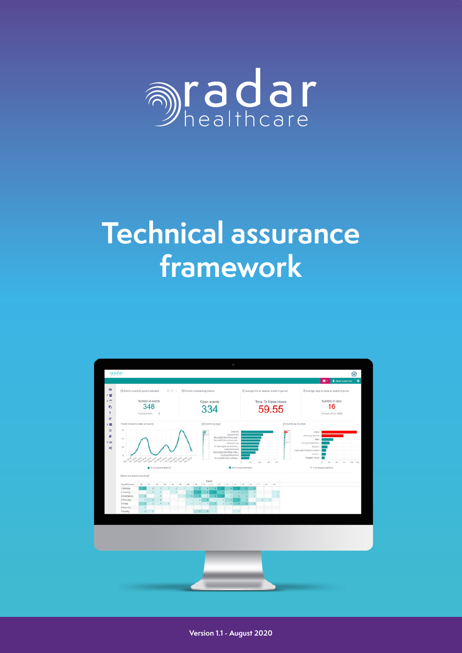

# **Technical assurance framework**



1 [www.radarhealthcare.com](https://radarhealthcare.com/) **Version 1.1 - August 2020**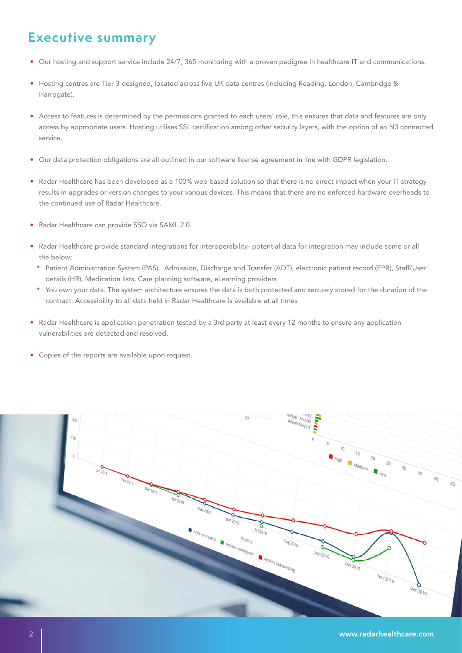## **Executive summary**

- Our hosting and support service include 24/7, 365 monitoring with a proven pedigree in healthcare IT and communications.
- Hosting centres are Tier 3 designed, located across five UK data centres (including Reading, London, Cambridge & Harrogate).
- Access to features is determined by the permissions granted to each users' role, this ensures that data and features are only access by appropriate users. Hosting utilises SSL certification among other security layers, with the option of an N3 connected service.
- Our data protection obligations are all outlined in our software license agreement in line with GDPR legislation.
- Radar Healthcare has been developed as a 100% web based solution so that there is no direct impact when your IT strategy results in upgrades or version changes to your various devices. This means that there are no enforced hardware overheads to the continued use of Radar Healthcare.
- Radar Healthcare can provide SSO via SAML 2.0.
- Radar Healthcare provide standard integrations for interoperability- potential data for integration may include some or all the below;
	- Patient Administration System (PAS). Admission, Discharge and Transfer (ADT), electronic patient record (EPR), Staff/User details (HR), Medication lists, Care planning software, eLearning providers
	- \* You own your data. The system architecture ensures the data is both protected and securely stored for the duration of the contract. Accessibility to all data held in Radar Healthcare is available at all times
- Radar Healthcare is application penetration tested by a 3rd party at least every 12 months to ensure any application vulnerabilities are detected and resolved.
- Copies of the reports are available upon request.

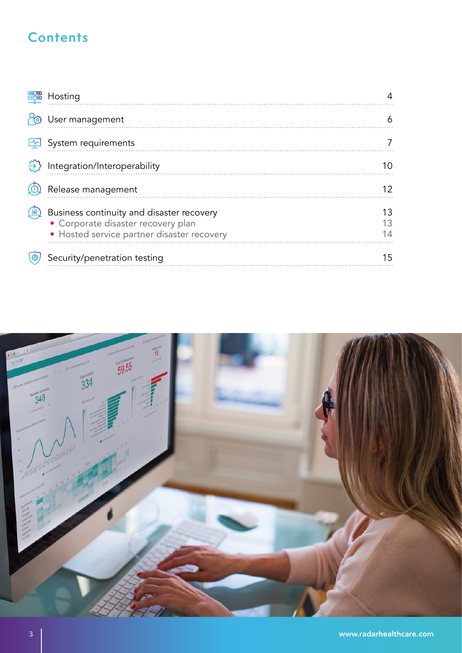## **Contents**

| Hosting                                                                                                                       |          |
|-------------------------------------------------------------------------------------------------------------------------------|----------|
| User management                                                                                                               |          |
| System requirements                                                                                                           |          |
| Integration/Interoperability                                                                                                  |          |
| Release management                                                                                                            | 12       |
| Business continuity and disaster recovery<br>• Corporate disaster recovery plan<br>· Hosted service partner disaster recovery | 13<br>13 |
| Security/penetration testing                                                                                                  | 15       |

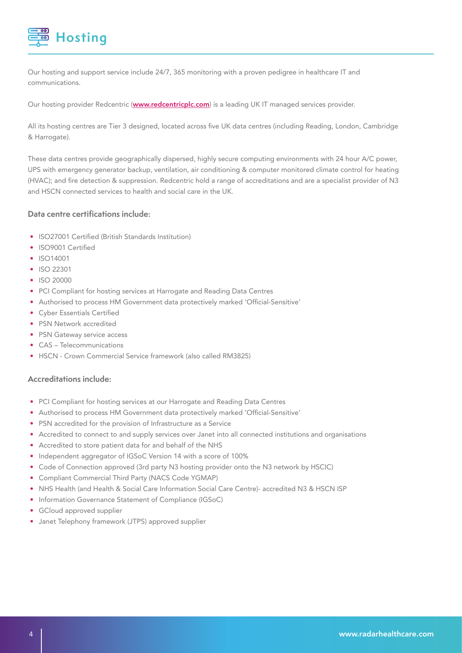

Our hosting and support service include 24/7, 365 monitoring with a proven pedigree in healthcare IT and communications.

Our hosting provider Redcentric (www.redcentricplc.com) is a leading UK IT managed services provider.

All its hosting centres are Tier 3 designed, located across five UK data centres (including Reading, London, Cambridge & Harrogate).

These data centres provide geographically dispersed, highly secure computing environments with 24 hour A/C power, UPS with emergency generator backup, ventilation, air conditioning & computer monitored climate control for heating (HVAC); and fire detection & suppression. Redcentric hold a range of accreditations and are a specialist provider of N3 and HSCN connected services to health and social care in the UK.

#### **Data centre certifications include:**

- ISO27001 Certified (British Standards Institution)
- ISO9001 Certified
- ISO14001
- ISO 22301
- ISO 20000
- PCI Compliant for hosting services at Harrogate and Reading Data Centres
- Authorised to process HM Government data protectively marked 'Official-Sensitive'
- Cyber Essentials Certified
- PSN Network accredited
- PSN Gateway service access
- CAS Telecommunications
- HSCN Crown Commercial Service framework (also called RM3825)

#### **Accreditations include:**

- PCI Compliant for hosting services at our Harrogate and Reading Data Centres
- Authorised to process HM Government data protectively marked 'Official-Sensitive'
- PSN accredited for the provision of Infrastructure as a Service
- Accredited to connect to and supply services over Janet into all connected institutions and organisations
- Accredited to store patient data for and behalf of the NHS
- Independent aggregator of IGSoC Version 14 with a score of 100%
- Code of Connection approved (3rd party N3 hosting provider onto the N3 network by HSCIC)
- Compliant Commercial Third Party (NACS Code YGMAP)
- NHS Health (and Health & Social Care Information Social Care Centre)- accredited N3 & HSCN ISP
- Information Governance Statement of Compliance (IGSoC)
- GCloud approved supplier
- Janet Telephony framework (JTPS) approved supplier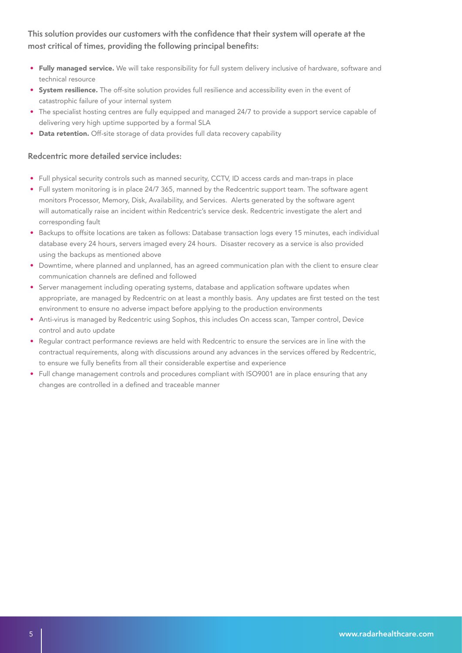#### **This solution provides our customers with the confidence that their system will operate at the most critical of times, providing the following principal benefits:**

- Fully managed service. We will take responsibility for full system delivery inclusive of hardware, software and technical resource
- System resilience. The off-site solution provides full resilience and accessibility even in the event of catastrophic failure of your internal system
- The specialist hosting centres are fully equipped and managed 24/7 to provide a support service capable of delivering very high uptime supported by a formal SLA
- Data retention. Off-site storage of data provides full data recovery capability

#### **Redcentric more detailed service includes:**

- Full physical security controls such as manned security, CCTV, ID access cards and man-traps in place
- Full system monitoring is in place 24/7 365, manned by the Redcentric support team. The software agent monitors Processor, Memory, Disk, Availability, and Services. Alerts generated by the software agent will automatically raise an incident within Redcentric's service desk. Redcentric investigate the alert and corresponding fault
- Backups to offsite locations are taken as follows: Database transaction logs every 15 minutes, each individual database every 24 hours, servers imaged every 24 hours. Disaster recovery as a service is also provided using the backups as mentioned above
- Downtime, where planned and unplanned, has an agreed communication plan with the client to ensure clear communication channels are defined and followed
- Server management including operating systems, database and application software updates when appropriate, are managed by Redcentric on at least a monthly basis. Any updates are first tested on the test environment to ensure no adverse impact before applying to the production environments
- Anti-virus is managed by Redcentric using Sophos, this includes On access scan, Tamper control, Device control and auto update
- Regular contract performance reviews are held with Redcentric to ensure the services are in line with the contractual requirements, along with discussions around any advances in the services offered by Redcentric, to ensure we fully benefits from all their considerable expertise and experience
- Full change management controls and procedures compliant with ISO9001 are in place ensuring that any changes are controlled in a defined and traceable manner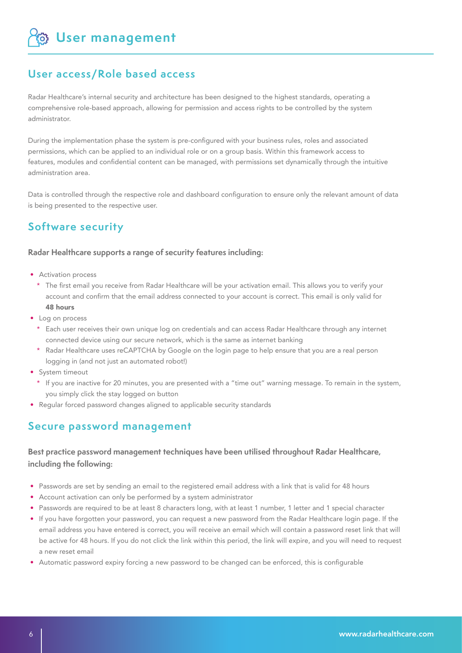**User management**

## **User access/Role based access**

Radar Healthcare's internal security and architecture has been designed to the highest standards, operating a comprehensive role-based approach, allowing for permission and access rights to be controlled by the system administrator.

During the implementation phase the system is pre-configured with your business rules, roles and associated permissions, which can be applied to an individual role or on a group basis. Within this framework access to features, modules and confidential content can be managed, with permissions set dynamically through the intuitive administration area.

Data is controlled through the respective role and dashboard configuration to ensure only the relevant amount of data is being presented to the respective user.

## **Software security**

#### **Radar Healthcare supports a range of security features including:**

- Activation process
	- \* The first email you receive from Radar Healthcare will be your activation email. This allows you to verify your account and confirm that the email address connected to your account is correct. This email is only valid for 48 hours
- Log on process
	- \* Each user receives their own unique log on credentials and can access Radar Healthcare through any internet connected device using our secure network, which is the same as internet banking
	- \* Radar Healthcare uses reCAPTCHA by Google on the login page to help ensure that you are a real person logging in (and not just an automated robot!)
- System timeout
	- \* If you are inactive for 20 minutes, you are presented with a "time out" warning message. To remain in the system, you simply click the stay logged on button
- Regular forced password changes aligned to applicable security standards

### **Secure password management**

#### **Best practice password management techniques have been utilised throughout Radar Healthcare, including the following:**

- Passwords are set by sending an email to the registered email address with a link that is valid for 48 hours
- Account activation can only be performed by a system administrator
- Passwords are required to be at least 8 characters long, with at least 1 number, 1 letter and 1 special character
- If you have forgotten your password, you can request a new password from the Radar Healthcare login page. If the email address you have entered is correct, you will receive an email which will contain a password reset link that will be active for 48 hours. If you do not click the link within this period, the link will expire, and you will need to request a new reset email
- Automatic password expiry forcing a new password to be changed can be enforced, this is configurable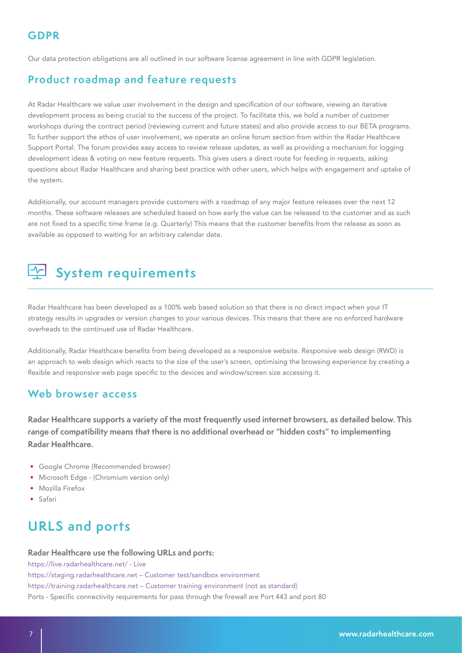Our data protection obligations are all outlined in our software license agreement in line with GDPR legislation.

## **Product roadmap and feature requests**

At Radar Healthcare we value user involvement in the design and specification of our software, viewing an iterative development process as being crucial to the success of the project. To facilitate this, we hold a number of customer workshops during the contract period (reviewing current and future states) and also provide access to our BETA programs. To further support the ethos of user involvement, we operate an online forum section from within the Radar Healthcare Support Portal. The forum provides easy access to review release updates, as well as providing a mechanism for logging development ideas & voting on new feature requests. This gives users a direct route for feeding in requests, asking questions about Radar Healthcare and sharing best practice with other users, which helps with engagement and uptake of the system.

Additionally, our account managers provide customers with a roadmap of any major feature releases over the next 12 months. These software releases are scheduled based on how early the value can be released to the customer and as such are not fixed to a specific time frame (e.g. Quarterly) This means that the customer benefits from the release as soon as available as opposed to waiting for an arbitrary calendar date.

## **System requirements**

Radar Healthcare has been developed as a 100% web based solution so that there is no direct impact when your IT strategy results in upgrades or version changes to your various devices. This means that there are no enforced hardware overheads to the continued use of Radar Healthcare.

Additionally, Radar Healthcare benefits from being developed as a responsive website. Responsive web design (RWD) is an approach to web design which reacts to the size of the user's screen, optimising the browsing experience by creating a flexible and responsive web page specific to the devices and window/screen size accessing it.

### **Web browser access**

**Radar Healthcare supports a variety of the most frequently used internet browsers, as detailed below. This range of compatibility means that there is no additional overhead or "hidden costs" to implementing Radar Healthcare.** 

- Google Chrome (Recommended browser)
- Microsoft Edge (Chromium version only)
- Mozilla Firefox
- Safari

## **URLS and ports**

#### **Radar Healthcare use the following URLs and ports:**

https://live.radarhealthcare.net/ - Live https://staging.radarhealthcare.net – Customer test/sandbox environment https://training.radarhealthcare.net – Customer training environment (not as standard) Ports - Specific connectivity requirements for pass through the firewall are Port 443 and port 80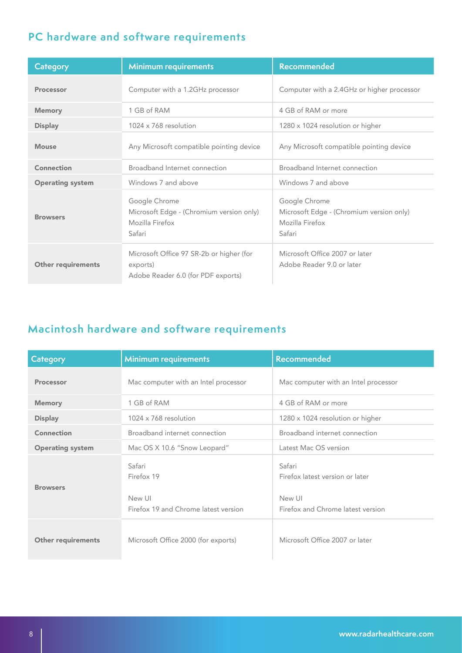## **PC hardware and software requirements**

| <b>Category</b>           | <b>Minimum requirements</b>                                                                | <b>Recommended</b>                                                                     |
|---------------------------|--------------------------------------------------------------------------------------------|----------------------------------------------------------------------------------------|
| <b>Processor</b>          | Computer with a 1.2GHz processor                                                           | Computer with a 2.4GHz or higher processor                                             |
| <b>Memory</b>             | 1 GB of RAM                                                                                | 4 GB of RAM or more                                                                    |
| <b>Display</b>            | 1024 x 768 resolution                                                                      | 1280 x 1024 resolution or higher                                                       |
| <b>Mouse</b>              | Any Microsoft compatible pointing device                                                   | Any Microsoft compatible pointing device                                               |
| Connection                | Broadband Internet connection                                                              | Broadband Internet connection                                                          |
| <b>Operating system</b>   | Windows 7 and above                                                                        | Windows 7 and above                                                                    |
| <b>Browsers</b>           | Google Chrome<br>Microsoft Edge - (Chromium version only)<br>Mozilla Firefox<br>Safari     | Google Chrome<br>Microsoft Edge - (Chromium version only)<br>Mozilla Firefox<br>Safari |
| <b>Other requirements</b> | Microsoft Office 97 SR-2b or higher (for<br>exports)<br>Adobe Reader 6.0 (for PDF exports) | Microsoft Office 2007 or later<br>Adobe Reader 9.0 or later                            |

## **Macintosh hardware and software requirements**

| Category                  | <b>Minimum requirements</b>                                            | <b>Recommended</b>                                                                       |
|---------------------------|------------------------------------------------------------------------|------------------------------------------------------------------------------------------|
| <b>Processor</b>          | Mac computer with an Intel processor                                   | Mac computer with an Intel processor                                                     |
| <b>Memory</b>             | 1 GB of RAM                                                            | 4 GB of RAM or more                                                                      |
| <b>Display</b>            | $1024 \times 768$ resolution                                           | 1280 x 1024 resolution or higher                                                         |
| <b>Connection</b>         | Broadband internet connection                                          | Broadband internet connection                                                            |
| <b>Operating system</b>   | Mac OS X 10.6 "Snow Leopard"                                           | Latest Mac OS version                                                                    |
| <b>Browsers</b>           | Safari<br>Firefox 19<br>New UI<br>Firefox 19 and Chrome latest version | Safari<br>Firefox latest version or later<br>New UI<br>Firefox and Chrome latest version |
| <b>Other requirements</b> | Microsoft Office 2000 (for exports)                                    | Microsoft Office 2007 or later                                                           |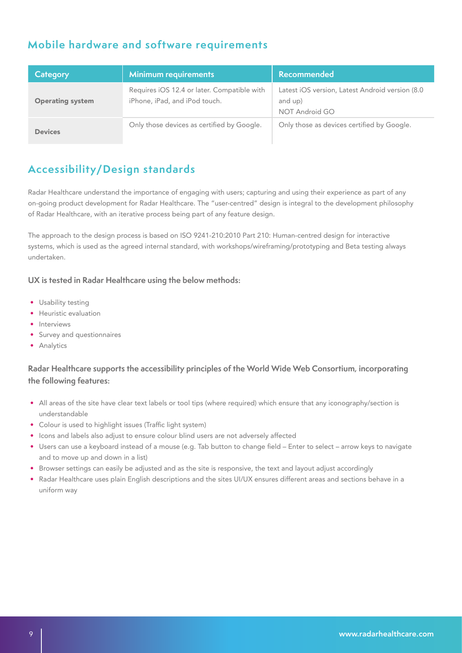## **Mobile hardware and software requirements**

| Category                | <b>Minimum requirements</b>                                                  | Recommended                                                                  |
|-------------------------|------------------------------------------------------------------------------|------------------------------------------------------------------------------|
| <b>Operating system</b> | Requires iOS 12.4 or later. Compatible with<br>iPhone, iPad, and iPod touch. | Latest iOS version, Latest Android version (8.0<br>and up)<br>NOT Android GO |
| <b>Devices</b>          | Only those devices as certified by Google.                                   | Only those as devices certified by Google.                                   |

## **Accessibility/Design standards**

Radar Healthcare understand the importance of engaging with users; capturing and using their experience as part of any on-going product development for Radar Healthcare. The "user-centred" design is integral to the development philosophy of Radar Healthcare, with an iterative process being part of any feature design.

The approach to the design process is based on ISO 9241-210:2010 Part 210: Human-centred design for interactive systems, which is used as the agreed internal standard, with workshops/wireframing/prototyping and Beta testing always undertaken.

#### **UX is tested in Radar Healthcare using the below methods:**

- Usability testing
- Heuristic evaluation
- Interviews
- Survey and questionnaires
- Analytics

#### **Radar Healthcare supports the accessibility principles of the World Wide Web Consortium, incorporating the following features:**

- All areas of the site have clear text labels or tool tips (where required) which ensure that any iconography/section is understandable
- Colour is used to highlight issues (Traffic light system)
- Icons and labels also adjust to ensure colour blind users are not adversely affected
- Users can use a keyboard instead of a mouse (e.g. Tab button to change field Enter to select arrow keys to navigate and to move up and down in a list)
- Browser settings can easily be adjusted and as the site is responsive, the text and layout adjust accordingly
- Radar Healthcare uses plain English descriptions and the sites UI/UX ensures different areas and sections behave in a uniform way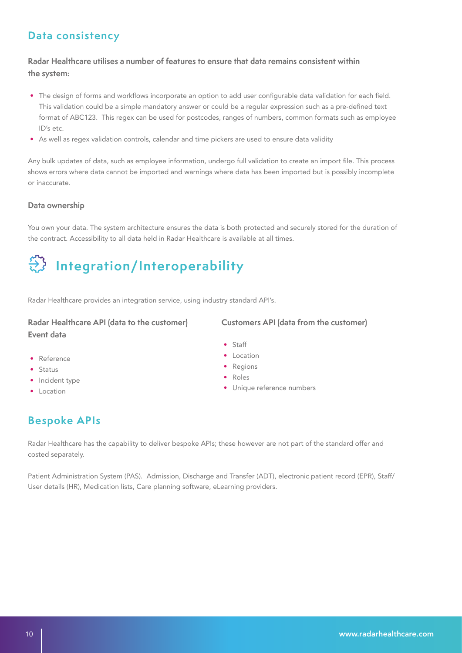## **Data consistency**

#### **Radar Healthcare utilises a number of features to ensure that data remains consistent within the system:**

- The design of forms and workflows incorporate an option to add user configurable data validation for each field. This validation could be a simple mandatory answer or could be a regular expression such as a pre-defined text format of ABC123. This regex can be used for postcodes, ranges of numbers, common formats such as employee ID's etc.
- As well as regex validation controls, calendar and time pickers are used to ensure data validity

Any bulk updates of data, such as employee information, undergo full validation to create an import file. This process shows errors where data cannot be imported and warnings where data has been imported but is possibly incomplete or inaccurate.

#### **Data ownership**

You own your data. The system architecture ensures the data is both protected and securely stored for the duration of the contract. Accessibility to all data held in Radar Healthcare is available at all times.

> • Staff • Location • Regions • Roles

## **Integration/Interoperability**

Radar Healthcare provides an integration service, using industry standard API's.

#### **Radar Healthcare API (data to the customer) Event data**

#### **Customers API (data from the customer)**

• Unique reference numbers

- Reference
- Status
- Incident type
- Location

## **Bespoke APIs**

Radar Healthcare has the capability to deliver bespoke APIs; these however are not part of the standard offer and costed separately.

Patient Administration System (PAS). Admission, Discharge and Transfer (ADT), electronic patient record (EPR), Staff/ User details (HR), Medication lists, Care planning software, eLearning providers.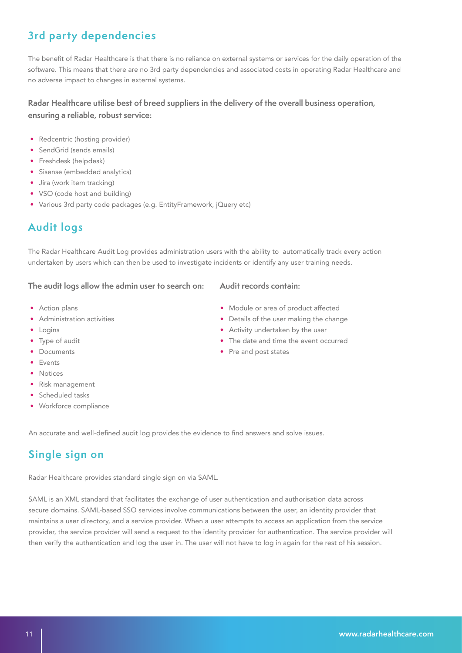## **3rd party dependencies**

The benefit of Radar Healthcare is that there is no reliance on external systems or services for the daily operation of the software. This means that there are no 3rd party dependencies and associated costs in operating Radar Healthcare and no adverse impact to changes in external systems.

#### **Radar Healthcare utilise best of breed suppliers in the delivery of the overall business operation, ensuring a reliable, robust service:**

- Redcentric (hosting provider)
- SendGrid (sends emails)
- Freshdesk (helpdesk)
- Sisense (embedded analytics)
- Jira (work item tracking)
- VSO (code host and building)
- Various 3rd party code packages (e.g. EntityFramework, jQuery etc)

## **Audit logs**

The Radar Healthcare Audit Log provides administration users with the ability to automatically track every action undertaken by users which can then be used to investigate incidents or identify any user training needs.

#### **The audit logs allow the admin user to search on:**

- Action plans
- Administration activities
- Logins
- Type of audit
- Documents
- Events
- Notices
- Risk management
- Scheduled tasks
- Workforce compliance

An accurate and well-defined audit log provides the evidence to find answers and solve issues.

## **Single sign on**

Radar Healthcare provides standard single sign on via SAML.

SAML is an XML standard that facilitates the exchange of user authentication and authorisation data across secure domains. SAML-based SSO services involve communications between the user, an identity provider that maintains a user directory, and a service provider. When a user attempts to access an application from the service provider, the service provider will send a request to the identity provider for authentication. The service provider will then verify the authentication and log the user in. The user will not have to log in again for the rest of his session.

## **Audit records contain:**

- Module or area of product affected
- Details of the user making the change
- Activity undertaken by the user
- The date and time the event occurred
- Pre and post states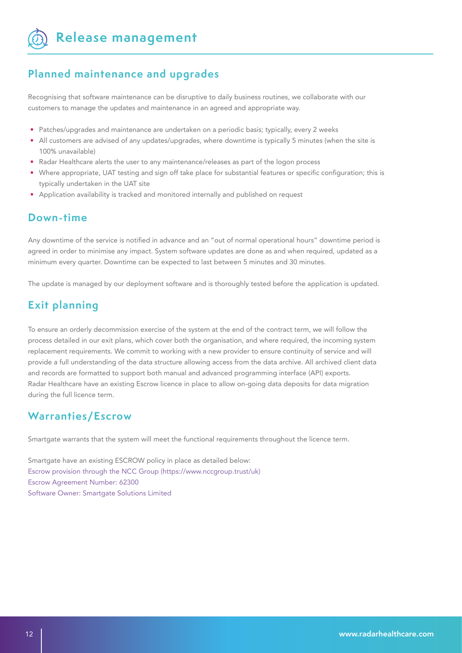**Release management** 

### **Planned maintenance and upgrades**

Recognising that software maintenance can be disruptive to daily business routines, we collaborate with our customers to manage the updates and maintenance in an agreed and appropriate way.

- Patches/upgrades and maintenance are undertaken on a periodic basis; typically, every 2 weeks
- All customers are advised of any updates/upgrades, where downtime is typically 5 minutes (when the site is 100% unavailable)
- Radar Healthcare alerts the user to any maintenance/releases as part of the logon process
- Where appropriate, UAT testing and sign off take place for substantial features or specific configuration; this is typically undertaken in the UAT site
- Application availability is tracked and monitored internally and published on request

### **Down-time**

Any downtime of the service is notified in advance and an "out of normal operational hours" downtime period is agreed in order to minimise any impact. System software updates are done as and when required, updated as a minimum every quarter. Downtime can be expected to last between 5 minutes and 30 minutes.

The update is managed by our deployment software and is thoroughly tested before the application is updated.

## **Exit planning**

To ensure an orderly decommission exercise of the system at the end of the contract term, we will follow the process detailed in our exit plans, which cover both the organisation, and where required, the incoming system replacement requirements. We commit to working with a new provider to ensure continuity of service and will provide a full understanding of the data structure allowing access from the data archive. All archived client data and records are formatted to support both manual and advanced programming interface (API) exports. Radar Healthcare have an existing Escrow licence in place to allow on-going data deposits for data migration during the full licence term.

### **Warranties/Escrow**

Smartgate warrants that the system will meet the functional requirements throughout the licence term.

Smartgate have an existing ESCROW policy in place as detailed below: Escrow provision through the NCC Group (https://www.nccgroup.trust/uk) Escrow Agreement Number: 62300 Software Owner: Smartgate Solutions Limited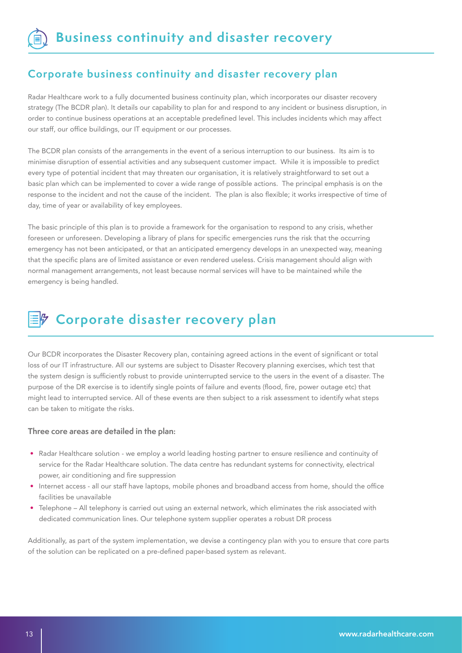### **Corporate business continuity and disaster recovery plan**

Radar Healthcare work to a fully documented business continuity plan, which incorporates our disaster recovery strategy (The BCDR plan). It details our capability to plan for and respond to any incident or business disruption, in order to continue business operations at an acceptable predefined level. This includes incidents which may affect our staff, our office buildings, our IT equipment or our processes.

The BCDR plan consists of the arrangements in the event of a serious interruption to our business. Its aim is to minimise disruption of essential activities and any subsequent customer impact. While it is impossible to predict every type of potential incident that may threaten our organisation, it is relatively straightforward to set out a basic plan which can be implemented to cover a wide range of possible actions. The principal emphasis is on the response to the incident and not the cause of the incident. The plan is also flexible; it works irrespective of time of day, time of year or availability of key employees.

The basic principle of this plan is to provide a framework for the organisation to respond to any crisis, whether foreseen or unforeseen. Developing a library of plans for specific emergencies runs the risk that the occurring emergency has not been anticipated, or that an anticipated emergency develops in an unexpected way, meaning that the specific plans are of limited assistance or even rendered useless. Crisis management should align with normal management arrangements, not least because normal services will have to be maintained while the emergency is being handled.

## **Corporate disaster recovery plan**

Our BCDR incorporates the Disaster Recovery plan, containing agreed actions in the event of significant or total loss of our IT infrastructure. All our systems are subject to Disaster Recovery planning exercises, which test that the system design is sufficiently robust to provide uninterrupted service to the users in the event of a disaster. The purpose of the DR exercise is to identify single points of failure and events (flood, fire, power outage etc) that might lead to interrupted service. All of these events are then subject to a risk assessment to identify what steps can be taken to mitigate the risks.

#### **Three core areas are detailed in the plan:**

- Radar Healthcare solution we employ a world leading hosting partner to ensure resilience and continuity of service for the Radar Healthcare solution. The data centre has redundant systems for connectivity, electrical power, air conditioning and fire suppression
- Internet access all our staff have laptops, mobile phones and broadband access from home, should the office facilities be unavailable
- Telephone All telephony is carried out using an external network, which eliminates the risk associated with dedicated communication lines. Our telephone system supplier operates a robust DR process

Additionally, as part of the system implementation, we devise a contingency plan with you to ensure that core parts of the solution can be replicated on a pre-defined paper-based system as relevant.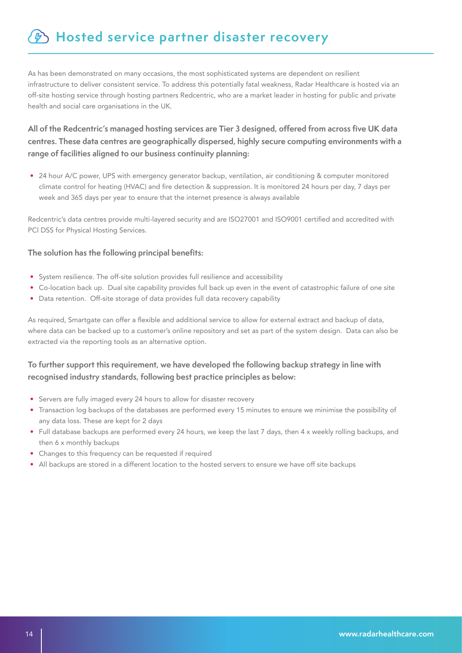## $\mathscr{D}$  **Hosted service partner disaster recovery**

As has been demonstrated on many occasions, the most sophisticated systems are dependent on resilient infrastructure to deliver consistent service. To address this potentially fatal weakness, Radar Healthcare is hosted via an off-site hosting service through hosting partners Redcentric, who are a market leader in hosting for public and private health and social care organisations in the UK.

#### **All of the Redcentric's managed hosting services are Tier 3 designed, offered from across five UK data centres. These data centres are geographically dispersed, highly secure computing environments with a range of facilities aligned to our business continuity planning:**

• 24 hour A/C power, UPS with emergency generator backup, ventilation, air conditioning & computer monitored climate control for heating (HVAC) and fire detection & suppression. It is monitored 24 hours per day, 7 days per week and 365 days per year to ensure that the internet presence is always available

Redcentric's data centres provide multi-layered security and are ISO27001 and ISO9001 certified and accredited with PCI DSS for Physical Hosting Services.

#### **The solution has the following principal benefits:**

- System resilience. The off-site solution provides full resilience and accessibility
- Co-location back up. Dual site capability provides full back up even in the event of catastrophic failure of one site
- Data retention. Off-site storage of data provides full data recovery capability

As required, Smartgate can offer a flexible and additional service to allow for external extract and backup of data, where data can be backed up to a customer's online repository and set as part of the system design. Data can also be extracted via the reporting tools as an alternative option.

#### **To further support this requirement, we have developed the following backup strategy in line with recognised industry standards, following best practice principles as below:**

- Servers are fully imaged every 24 hours to allow for disaster recovery
- Transaction log backups of the databases are performed every 15 minutes to ensure we minimise the possibility of any data loss. These are kept for 2 days
- Full database backups are performed every 24 hours, we keep the last 7 days, then 4 x weekly rolling backups, and then 6 x monthly backups
- Changes to this frequency can be requested if required
- All backups are stored in a different location to the hosted servers to ensure we have off site backups